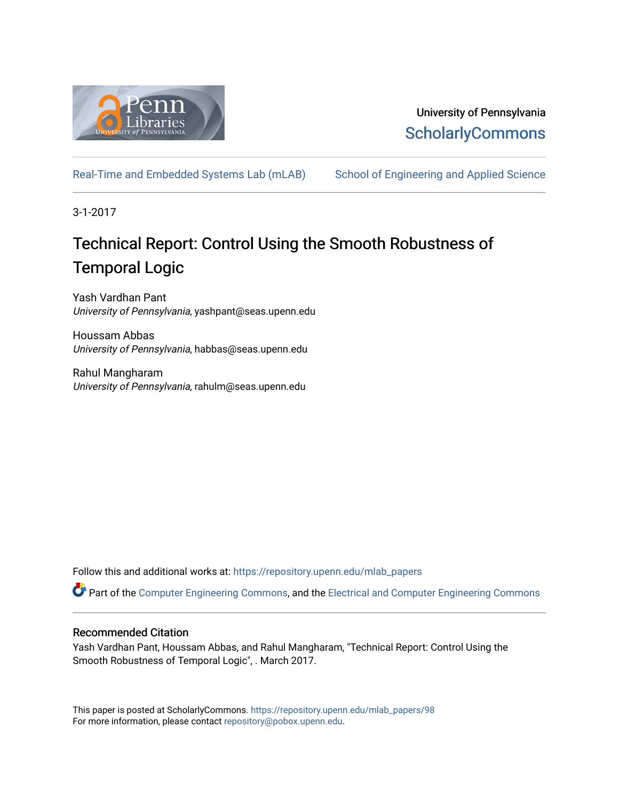

## University of Pennsylvania **ScholarlyCommons**

[Real-Time and Embedded Systems Lab \(mLAB\)](https://repository.upenn.edu/mlab_papers) School of Engineering and Applied Science

3-1-2017

# Technical Report: Control Using the Smooth Robustness of Temporal Logic

Yash Vardhan Pant University of Pennsylvania, yashpant@seas.upenn.edu

Houssam Abbas University of Pennsylvania, habbas@seas.upenn.edu

Rahul Mangharam University of Pennsylvania, rahulm@seas.upenn.edu

Follow this and additional works at: [https://repository.upenn.edu/mlab\\_papers](https://repository.upenn.edu/mlab_papers?utm_source=repository.upenn.edu%2Fmlab_papers%2F98&utm_medium=PDF&utm_campaign=PDFCoverPages) 

Part of the [Computer Engineering Commons,](http://network.bepress.com/hgg/discipline/258?utm_source=repository.upenn.edu%2Fmlab_papers%2F98&utm_medium=PDF&utm_campaign=PDFCoverPages) and the [Electrical and Computer Engineering Commons](http://network.bepress.com/hgg/discipline/266?utm_source=repository.upenn.edu%2Fmlab_papers%2F98&utm_medium=PDF&utm_campaign=PDFCoverPages)

### Recommended Citation

Yash Vardhan Pant, Houssam Abbas, and Rahul Mangharam, "Technical Report: Control Using the Smooth Robustness of Temporal Logic", . March 2017.

This paper is posted at ScholarlyCommons. [https://repository.upenn.edu/mlab\\_papers/98](https://repository.upenn.edu/mlab_papers/98) For more information, please contact [repository@pobox.upenn.edu.](mailto:repository@pobox.upenn.edu)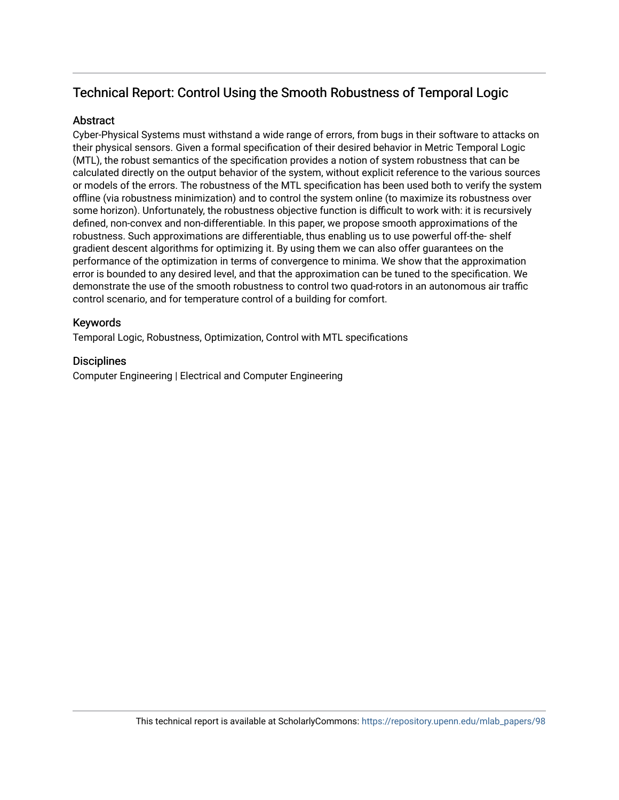## Technical Report: Control Using the Smooth Robustness of Temporal Logic

### Abstract

Cyber-Physical Systems must withstand a wide range of errors, from bugs in their software to attacks on their physical sensors. Given a formal specification of their desired behavior in Metric Temporal Logic (MTL), the robust semantics of the specification provides a notion of system robustness that can be calculated directly on the output behavior of the system, without explicit reference to the various sources or models of the errors. The robustness of the MTL specification has been used both to verify the system offline (via robustness minimization) and to control the system online (to maximize its robustness over some horizon). Unfortunately, the robustness objective function is difficult to work with: it is recursively defined, non-convex and non-differentiable. In this paper, we propose smooth approximations of the robustness. Such approximations are differentiable, thus enabling us to use powerful off-the- shelf gradient descent algorithms for optimizing it. By using them we can also offer guarantees on the performance of the optimization in terms of convergence to minima. We show that the approximation error is bounded to any desired level, and that the approximation can be tuned to the specification. We demonstrate the use of the smooth robustness to control two quad-rotors in an autonomous air traffic control scenario, and for temperature control of a building for comfort.

### Keywords

Temporal Logic, Robustness, Optimization, Control with MTL specifications

## **Disciplines**

Computer Engineering | Electrical and Computer Engineering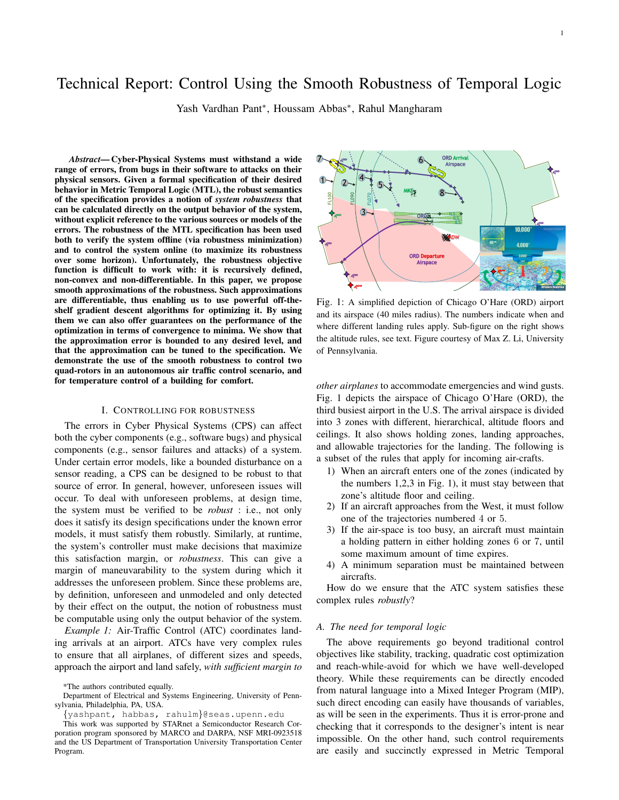## Technical Report: Control Using the Smooth Robustness of Temporal Logic

Yash Vardhan Pant<sup>∗</sup> , Houssam Abbas<sup>∗</sup> , Rahul Mangharam

*Abstract*— Cyber-Physical Systems must withstand a wide range of errors, from bugs in their software to attacks on their physical sensors. Given a formal specification of their desired behavior in Metric Temporal Logic (MTL), the robust semantics of the specification provides a notion of *system robustness* that can be calculated directly on the output behavior of the system, without explicit reference to the various sources or models of the errors. The robustness of the MTL specification has been used both to verify the system offline (via robustness minimization) and to control the system online (to maximize its robustness over some horizon). Unfortunately, the robustness objective function is difficult to work with: it is recursively defined, non-convex and non-differentiable. In this paper, we propose smooth approximations of the robustness. Such approximations are differentiable, thus enabling us to use powerful off-theshelf gradient descent algorithms for optimizing it. By using them we can also offer guarantees on the performance of the optimization in terms of convergence to minima. We show that the approximation error is bounded to any desired level, and that the approximation can be tuned to the specification. We demonstrate the use of the smooth robustness to control two quad-rotors in an autonomous air traffic control scenario, and for temperature control of a building for comfort.

#### I. CONTROLLING FOR ROBUSTNESS

The errors in Cyber Physical Systems (CPS) can affect both the cyber components (e.g., software bugs) and physical components (e.g., sensor failures and attacks) of a system. Under certain error models, like a bounded disturbance on a sensor reading, a CPS can be designed to be robust to that source of error. In general, however, unforeseen issues will occur. To deal with unforeseen problems, at design time, the system must be verified to be *robust* : i.e., not only does it satisfy its design specifications under the known error models, it must satisfy them robustly. Similarly, at runtime, the system's controller must make decisions that maximize this satisfaction margin, or *robustness*. This can give a margin of maneuvarability to the system during which it addresses the unforeseen problem. Since these problems are, by definition, unforeseen and unmodeled and only detected by their effect on the output, the notion of robustness must be computable using only the output behavior of the system.

*Example 1:* Air-Traffic Control (ATC) coordinates landing arrivals at an airport. ATCs have very complex rules to ensure that all airplanes, of different sizes and speeds, approach the airport and land safely, *with sufficient margin to*

Department of Electrical and Systems Engineering, University of Pennsylvania, Philadelphia, PA, USA.

{yashpant, habbas, rahulm}@seas.upenn.edu



1

Fig. 1: A simplified depiction of Chicago O'Hare (ORD) airport and its airspace (40 miles radius). The numbers indicate when and where different landing rules apply. Sub-figure on the right shows the altitude rules, see text. Figure courtesy of Max Z. Li, University of Pennsylvania.

*other airplanes* to accommodate emergencies and wind gusts. Fig. 1 depicts the airspace of Chicago O'Hare (ORD), the third busiest airport in the U.S. The arrival airspace is divided into 3 zones with different, hierarchical, altitude floors and ceilings. It also shows holding zones, landing approaches, and allowable trajectories for the landing. The following is a subset of the rules that apply for incoming air-crafts.

- 1) When an aircraft enters one of the zones (indicated by the numbers 1,2,3 in Fig. 1), it must stay between that zone's altitude floor and ceiling.
- 2) If an aircraft approaches from the West, it must follow one of the trajectories numbered 4 or 5.
- 3) If the air-space is too busy, an aircraft must maintain a holding pattern in either holding zones 6 or 7, until some maximum amount of time expires.
- 4) A minimum separation must be maintained between aircrafts.

How do we ensure that the ATC system satisfies these complex rules *robustly*?

#### *A. The need for temporal logic*

The above requirements go beyond traditional control objectives like stability, tracking, quadratic cost optimization and reach-while-avoid for which we have well-developed theory. While these requirements can be directly encoded from natural language into a Mixed Integer Program (MIP), such direct encoding can easily have thousands of variables, as will be seen in the experiments. Thus it is error-prone and checking that it corresponds to the designer's intent is near impossible. On the other hand, such control requirements are easily and succinctly expressed in Metric Temporal

<sup>\*</sup>The authors contributed equally.

This work was supported by STARnet a Semiconductor Research Corporation program sponsored by MARCO and DARPA, NSF MRI-0923518 and the US Department of Transportation University Transportation Center Program.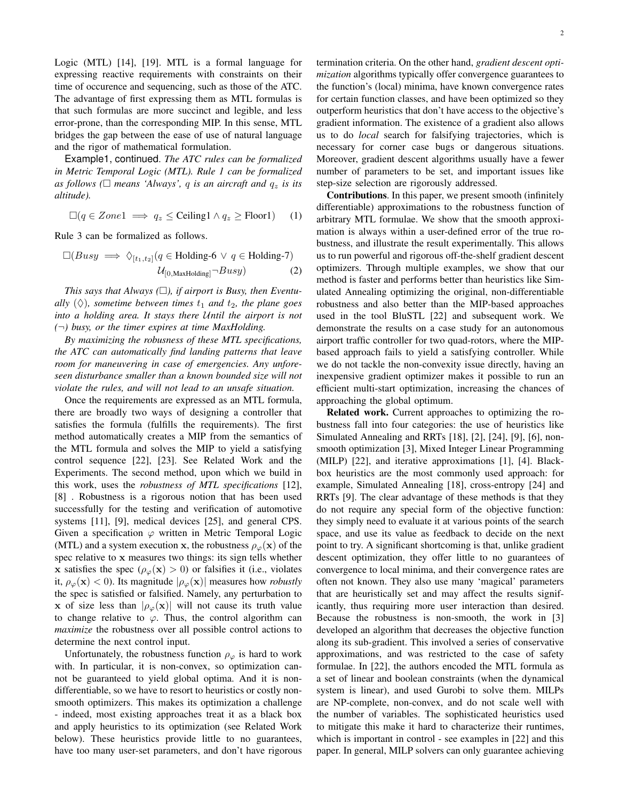Logic (MTL) [14], [19]. MTL is a formal language for expressing reactive requirements with constraints on their time of occurence and sequencing, such as those of the ATC. The advantage of first expressing them as MTL formulas is that such formulas are more succinct and legible, and less error-prone, than the corresponding MIP. In this sense, MTL bridges the gap between the ease of use of natural language and the rigor of mathematical formulation.

Example1, continued. *The ATC rules can be formalized in Metric Temporal Logic (MTL). Rule 1 can be formalized* as follows ( $\square$  means 'Always', q is an aircraft and  $q_z$  is its *altitude).*

 $\Box (q \in Zone1 \implies q_z \leq$  Ceiling  $\Box (q \in Zone1)$  (1)

Rule 3 can be formalized as follows.

$$
\Box(Busy \implies \Diamond_{[t_1, t_2]}(q \in \text{Holding-6} \lor q \in \text{Holding-7})
$$
  

$$
\mathcal{U}_{[0, \text{MaxHolding}]} \neg Busy)
$$
 (2)

*This says that Always (), if airport is Busy, then Eventually*  $(\Diamond)$ *, sometime between times*  $t_1$  *and*  $t_2$ *, the plane goes into a holding area. It stays there* U*ntil the airport is not (*¬*) busy, or the timer expires at time MaxHolding.*

*By maximizing the robusness of these MTL specifications, the ATC can automatically find landing patterns that leave room for maneuvering in case of emergencies. Any unforeseen disturbance smaller than a known bounded size will not violate the rules, and will not lead to an unsafe situation.*

Once the requirements are expressed as an MTL formula, there are broadly two ways of designing a controller that satisfies the formula (fulfills the requirements). The first method automatically creates a MIP from the semantics of the MTL formula and solves the MIP to yield a satisfying control sequence [22], [23]. See Related Work and the Experiments. The second method, upon which we build in this work, uses the *robustness of MTL specifications* [12], [8] . Robustness is a rigorous notion that has been used successfully for the testing and verification of automotive systems [11], [9], medical devices [25], and general CPS. Given a specification  $\varphi$  written in Metric Temporal Logic (MTL) and a system execution x, the robustness  $\rho_{\varphi}(\mathbf{x})$  of the spec relative to x measures two things: its sign tells whether x satisfies the spec ( $\rho_{\varphi}(\mathbf{x}) > 0$ ) or falsifies it (i.e., violates it,  $\rho_{\varphi}(\mathbf{x}) < 0$ ). Its magnitude  $|\rho_{\varphi}(\mathbf{x})|$  measures how *robustly* the spec is satisfied or falsified. Namely, any perturbation to x of size less than  $|\rho_{\varphi}(\mathbf{x})|$  will not cause its truth value to change relative to  $\varphi$ . Thus, the control algorithm can *maximize* the robustness over all possible control actions to determine the next control input.

Unfortunately, the robustness function  $\rho_{\varphi}$  is hard to work with. In particular, it is non-convex, so optimization cannot be guaranteed to yield global optima. And it is nondifferentiable, so we have to resort to heuristics or costly nonsmooth optimizers. This makes its optimization a challenge - indeed, most existing approaches treat it as a black box and apply heuristics to its optimization (see Related Work below). These heuristics provide little to no guarantees, have too many user-set parameters, and don't have rigorous termination criteria. On the other hand, *gradient descent optimization* algorithms typically offer convergence guarantees to the function's (local) minima, have known convergence rates for certain function classes, and have been optimized so they outperform heuristics that don't have access to the objective's gradient information. The existence of a gradient also allows us to do *local* search for falsifying trajectories, which is necessary for corner case bugs or dangerous situations. Moreover, gradient descent algorithms usually have a fewer number of parameters to be set, and important issues like step-size selection are rigorously addressed.

Contributions. In this paper, we present smooth (infinitely differentiable) approximations to the robustness function of arbitrary MTL formulae. We show that the smooth approximation is always within a user-defined error of the true robustness, and illustrate the result experimentally. This allows us to run powerful and rigorous off-the-shelf gradient descent optimizers. Through multiple examples, we show that our method is faster and performs better than heuristics like Simulated Annealing optimizing the original, non-differentiable robustness and also better than the MIP-based approaches used in the tool BluSTL [22] and subsequent work. We demonstrate the results on a case study for an autonomous airport traffic controller for two quad-rotors, where the MIPbased approach fails to yield a satisfying controller. While we do not tackle the non-convexity issue directly, having an inexpensive gradient optimizer makes it possible to run an efficient multi-start optimization, increasing the chances of approaching the global optimum.

Related work. Current approaches to optimizing the robustness fall into four categories: the use of heuristics like Simulated Annealing and RRTs [18], [2], [24], [9], [6], nonsmooth optimization [3], Mixed Integer Linear Programming (MILP) [22], and iterative approximations [1], [4]. Blackbox heuristics are the most commonly used approach: for example, Simulated Annealing [18], cross-entropy [24] and RRTs [9]. The clear advantage of these methods is that they do not require any special form of the objective function: they simply need to evaluate it at various points of the search space, and use its value as feedback to decide on the next point to try. A significant shortcoming is that, unlike gradient descent optimization, they offer little to no guarantees of convergence to local minima, and their convergence rates are often not known. They also use many 'magical' parameters that are heuristically set and may affect the results significantly, thus requiring more user interaction than desired. Because the robustness is non-smooth, the work in [3] developed an algorithm that decreases the objective function along its sub-gradient. This involved a series of conservative approximations, and was restricted to the case of safety formulae. In [22], the authors encoded the MTL formula as a set of linear and boolean constraints (when the dynamical system is linear), and used Gurobi to solve them. MILPs are NP-complete, non-convex, and do not scale well with the number of variables. The sophisticated heuristics used to mitigate this make it hard to characterize their runtimes, which is important in control - see examples in [22] and this paper. In general, MILP solvers can only guarantee achieving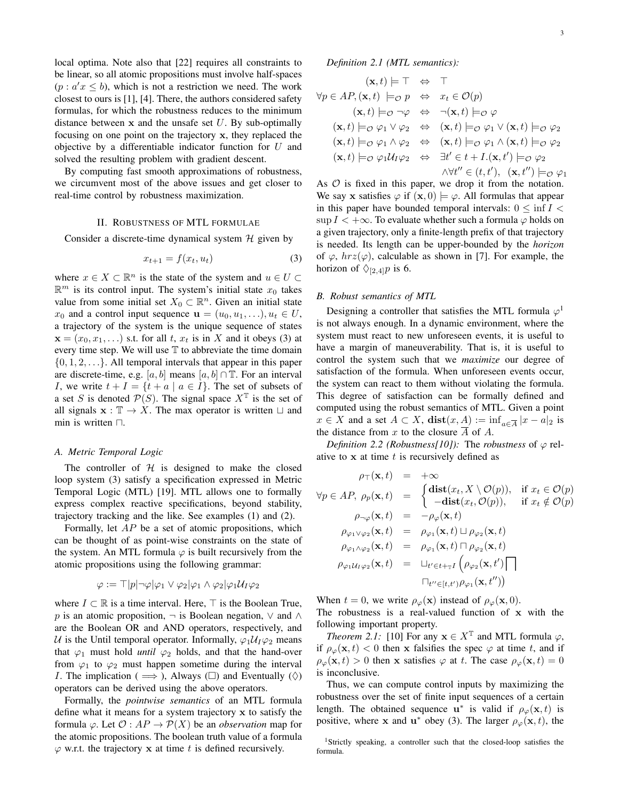local optima. Note also that [22] requires all constraints to be linear, so all atomic propositions must involve half-spaces  $(p : a'x \leq b)$ , which is not a restriction we need. The work closest to ours is [1], [4]. There, the authors considered safety formulas, for which the robustness reduces to the minimum distance between  $x$  and the unsafe set  $U$ . By sub-optimally focusing on one point on the trajectory x, they replaced the objective by a differentiable indicator function for  $U$  and solved the resulting problem with gradient descent.

By computing fast smooth approximations of robustness, we circumvent most of the above issues and get closer to real-time control by robustness maximization.

#### II. ROBUSTNESS OF MTL FORMULAE

Consider a discrete-time dynamical system  $H$  given by

$$
x_{t+1} = f(x_t, u_t) \tag{3}
$$

where  $x \in X \subset \mathbb{R}^n$  is the state of the system and  $u \in U \subset$  $\mathbb{R}^m$  is its control input. The system's initial state  $x_0$  takes value from some initial set  $X_0 \subset \mathbb{R}^n$ . Given an initial state  $x_0$  and a control input sequence  $\mathbf{u} = (u_0, u_1, \ldots), u_t \in U$ , a trajectory of the system is the unique sequence of states  $\mathbf{x} = (x_0, x_1, \ldots)$  s.t. for all t,  $x_t$  is in X and it obeys (3) at every time step. We will use  $T$  to abbreviate the time domain  $\{0, 1, 2, \ldots\}$ . All temporal intervals that appear in this paper are discrete-time, e.g. [a, b] means [a, b] ∩ T. For an interval I, we write  $t + I = \{t + a \mid a \in I\}$ . The set of subsets of a set S is denoted  $\mathcal{P}(S)$ . The signal space  $X^{\mathbb{T}}$  is the set of all signals  $\mathbf{x} : \mathbb{T} \to X$ . The max operator is written  $\sqcup$  and min is written  $\Box$ .

#### *A. Metric Temporal Logic*

The controller of  $H$  is designed to make the closed loop system (3) satisfy a specification expressed in Metric Temporal Logic (MTL) [19]. MTL allows one to formally express complex reactive specifications, beyond stability, trajectory tracking and the like. See examples (1) and (2).

Formally, let AP be a set of atomic propositions, which can be thought of as point-wise constraints on the state of the system. An MTL formula  $\varphi$  is built recursively from the atomic propositions using the following grammar:

$$
\varphi := \top |p| \neg \varphi | \varphi_1 \vee \varphi_2 | \varphi_1 \wedge \varphi_2 | \varphi_1 \mathcal{U}_I \varphi_2
$$

where  $I \subset \mathbb{R}$  is a time interval. Here,  $\top$  is the Boolean True, p is an atomic proposition,  $\neg$  is Boolean negation,  $\vee$  and  $\wedge$ are the Boolean OR and AND operators, respectively, and U is the Until temporal operator. Informally,  $\varphi_1 U_I \varphi_2$  means that  $\varphi_1$  must hold *until*  $\varphi_2$  holds, and that the hand-over from  $\varphi_1$  to  $\varphi_2$  must happen sometime during the interval *I*. The implication ( $\implies$ ), Always ( $\square$ ) and Eventually ( $\diamondsuit$ ) operators can be derived using the above operators.

Formally, the *pointwise semantics* of an MTL formula define what it means for a system trajectory x to satisfy the formula  $\varphi$ . Let  $\mathcal{O}: AP \to \mathcal{P}(X)$  be an *observation* map for the atomic propositions. The boolean truth value of a formula  $\varphi$  w.r.t. the trajectory x at time t is defined recursively.

*Definition 2.1 (MTL semantics):*

$$
(\mathbf{x},t) \models \top \Leftrightarrow \top
$$
  
\n
$$
\forall p \in AP, (\mathbf{x},t) \models_{\mathcal{O}} p \Leftrightarrow x_t \in \mathcal{O}(p)
$$
  
\n
$$
(\mathbf{x},t) \models_{\mathcal{O}} \neg \varphi \Leftrightarrow \neg(\mathbf{x},t) \models_{\mathcal{O}} \varphi
$$
  
\n
$$
(\mathbf{x},t) \models_{\mathcal{O}} \varphi_1 \lor \varphi_2 \Leftrightarrow (\mathbf{x},t) \models_{\mathcal{O}} \varphi_1 \lor (\mathbf{x},t) \models_{\mathcal{O}} \varphi_2
$$
  
\n
$$
(\mathbf{x},t) \models_{\mathcal{O}} \varphi_1 \land \varphi_2 \Leftrightarrow (\mathbf{x},t) \models_{\mathcal{O}} \varphi_1 \land (\mathbf{x},t) \models_{\mathcal{O}} \varphi_2
$$
  
\n
$$
(\mathbf{x},t) \models_{\mathcal{O}} \varphi_1 U_1 \varphi_2 \Leftrightarrow \exists t' \in t + I.(\mathbf{x},t') \models_{\mathcal{O}} \varphi_2
$$
  
\n
$$
\land \forall t'' \in (t,t'), (\mathbf{x},t'') \models_{\mathcal{O}} \varphi_1
$$

As  $O$  is fixed in this paper, we drop it from the notation. We say x satisfies  $\varphi$  if  $(x, 0) \models \varphi$ . All formulas that appear in this paper have bounded temporal intervals:  $0 \leq \inf I$ sup  $I < +\infty$ . To evaluate whether such a formula  $\varphi$  holds on a given trajectory, only a finite-length prefix of that trajectory is needed. Its length can be upper-bounded by the *horizon* of  $\varphi$ ,  $hrz(\varphi)$ , calculable as shown in [7]. For example, the horizon of  $\Diamond_{[2,4]}p$  is 6.

#### *B. Robust semantics of MTL*

Designing a controller that satisfies the MTL formula  $\varphi^1$ is not always enough. In a dynamic environment, where the system must react to new unforeseen events, it is useful to have a margin of maneuverability. That is, it is useful to control the system such that we *maximize* our degree of satisfaction of the formula. When unforeseen events occur, the system can react to them without violating the formula. This degree of satisfaction can be formally defined and computed using the robust semantics of MTL. Given a point  $x \in X$  and a set  $A \subset X$ ,  $dist(x, \underline{A}) := inf_{a \in \overline{A}} |x - a|_2$  is the distance from x to the closure  $\overline{A}$  of A.

*Definition 2.2 (Robustness[10]):* The *robustness* of  $\varphi$  relative to  $x$  at time  $t$  is recursively defined as

$$
\rho_{\top}(\mathbf{x},t) = +\infty
$$
\n
$$
\forall p \in AP, \ \rho_{p}(\mathbf{x},t) = \begin{cases}\n\operatorname{dist}(x_{t}, X \setminus \mathcal{O}(p)), & \text{if } x_{t} \in \mathcal{O}(p) \\
-\operatorname{dist}(x_{t}, \mathcal{O}(p)), & \text{if } x_{t} \notin \mathcal{O}(p)\n\end{cases}
$$
\n
$$
\rho_{\varphi_{1}\vee\varphi_{2}}(\mathbf{x},t) = -\rho_{\varphi}(\mathbf{x},t)
$$
\n
$$
\rho_{\varphi_{1}\vee\varphi_{2}}(\mathbf{x},t) = \rho_{\varphi_{1}}(\mathbf{x},t) \sqcup \rho_{\varphi_{2}}(\mathbf{x},t)
$$
\n
$$
\rho_{\varphi_{1}\wedge\varphi_{2}}(\mathbf{x},t) = \rho_{\varphi_{1}}(\mathbf{x},t) \sqcap \rho_{\varphi_{2}}(\mathbf{x},t)
$$
\n
$$
\rho_{\varphi_{1}\mathcal{U}_{1}\varphi_{2}}(\mathbf{x},t) = \sqcup_{t' \in t + \mathbb{T}I} \left(\rho_{\varphi_{2}}(\mathbf{x},t')\right)
$$
\n
$$
\sqcap_{t'' \in [t,t']} \rho_{\varphi_{1}}(\mathbf{x},t''))
$$

When  $t = 0$ , we write  $\rho_{\varphi}(\mathbf{x})$  instead of  $\rho_{\varphi}(\mathbf{x}, 0)$ . The robustness is a real-valued function of x with the following important property.

*Theorem 2.1:* [10] For any  $\mathbf{x} \in X^{\mathbb{T}}$  and MTL formula  $\varphi$ , if  $\rho_{\varphi}(\mathbf{x}, t) < 0$  then x falsifies the spec  $\varphi$  at time t, and if  $\rho_{\varphi}(\mathbf{x}, t) > 0$  then x satisfies  $\varphi$  at t. The case  $\rho_{\varphi}(\mathbf{x}, t) = 0$ is inconclusive.

Thus, we can compute control inputs by maximizing the robustness over the set of finite input sequences of a certain length. The obtained sequence  $\mathbf{u}^*$  is valid if  $\rho_{\varphi}(\mathbf{x},t)$  is positive, where **x** and **u**<sup>\*</sup> obey (3). The larger  $\rho_{\varphi}(\mathbf{x}, t)$ , the

<sup>1</sup>Strictly speaking, a controller such that the closed-loop satisfies the formula.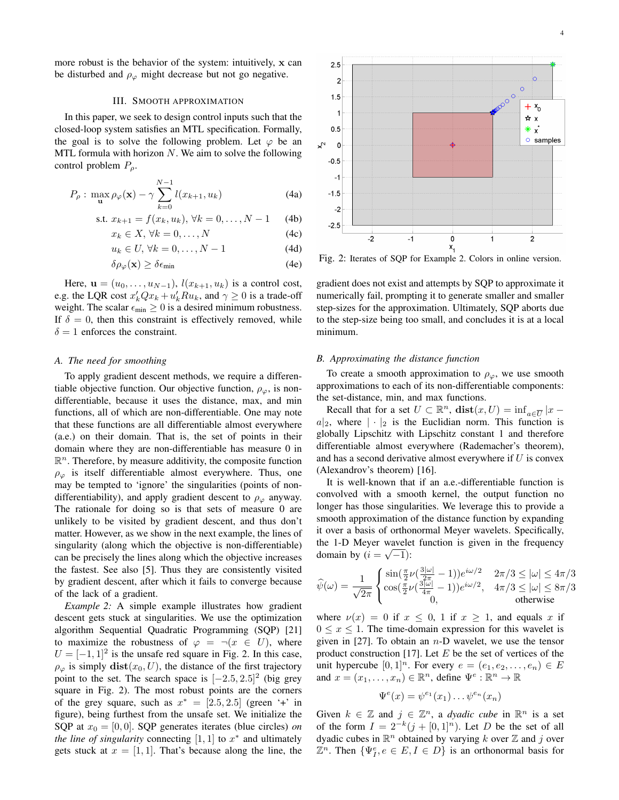more robust is the behavior of the system: intuitively, x can be disturbed and  $\rho_{\varphi}$  might decrease but not go negative.

#### III. SMOOTH APPROXIMATION

In this paper, we seek to design control inputs such that the closed-loop system satisfies an MTL specification. Formally, the goal is to solve the following problem. Let  $\varphi$  be an MTL formula with horizon  $N$ . We aim to solve the following control problem  $P_{\rho}$ .

$$
P_{\rho}: \max_{\mathbf{u}} \rho_{\varphi}(\mathbf{x}) - \gamma \sum_{k=0}^{N-1} l(x_{k+1}, u_k)
$$
 (4a)

s.t. 
$$
x_{k+1} = f(x_k, u_k), \forall k = 0, ..., N-1
$$
 (4b)

$$
x_k \in X, \,\forall k = 0, \dots, N \tag{4c}
$$

$$
u_k \in U, \,\forall k = 0, \dots, N - 1 \tag{4d}
$$

$$
\delta \rho_{\varphi}(\mathbf{x}) \ge \delta \epsilon_{\min} \tag{4e}
$$

Here,  $\mathbf{u} = (u_0, \dots, u_{N-1}), l(x_{k+1}, u_k)$  is a control cost, e.g. the LQR cost  $x'_k Q x_k + u'_k R u_k$ , and  $\gamma \ge 0$  is a trade-off weight. The scalar  $\epsilon_{\min} \geq 0$  is a desired minimum robustness. If  $\delta = 0$ , then this constraint is effectively removed, while  $\delta = 1$  enforces the constraint.

#### *A. The need for smoothing*

To apply gradient descent methods, we require a differentiable objective function. Our objective function,  $\rho_{\varphi}$ , is nondifferentiable, because it uses the distance, max, and min functions, all of which are non-differentiable. One may note that these functions are all differentiable almost everywhere (a.e.) on their domain. That is, the set of points in their domain where they are non-differentiable has measure 0 in  $\mathbb{R}^n$ . Therefore, by measure additivity, the composite function  $\rho_{\varphi}$  is itself differentiable almost everywhere. Thus, one may be tempted to 'ignore' the singularities (points of nondifferentiability), and apply gradient descent to  $\rho_{\varphi}$  anyway. The rationale for doing so is that sets of measure 0 are unlikely to be visited by gradient descent, and thus don't matter. However, as we show in the next example, the lines of singularity (along which the objective is non-differentiable) can be precisely the lines along which the objective increases the fastest. See also [5]. Thus they are consistently visited by gradient descent, after which it fails to converge because of the lack of a gradient.

*Example 2:* A simple example illustrates how gradient descent gets stuck at singularities. We use the optimization algorithm Sequential Quadratic Programming (SQP) [21] to maximize the robustness of  $\varphi = \neg(x \in U)$ , where  $U = [-1, 1]^2$  is the unsafe red square in Fig. 2. In this case,  $\rho_{\varphi}$  is simply  $dist(x_0, U)$ , the distance of the first trajectory point to the set. The search space is  $[-2.5, 2.5]^2$  (big grey square in Fig. 2). The most robust points are the corners of the grey square, such as  $x^* = [2.5, 2.5]$  (green '+' in figure), being furthest from the unsafe set. We initialize the SQP at  $x_0 = [0, 0]$ . SQP generates iterates (blue circles) *on the line of singularity* connecting  $[1, 1]$  to  $x^*$  and ultimately gets stuck at  $x = \begin{bmatrix} 1 \\ 1 \end{bmatrix}$ . That's because along the line, the



Fig. 2: Iterates of SQP for Example 2. Colors in online version.

gradient does not exist and attempts by SQP to approximate it numerically fail, prompting it to generate smaller and smaller step-sizes for the approximation. Ultimately, SQP aborts due to the step-size being too small, and concludes it is at a local minimum.

#### *B. Approximating the distance function*

To create a smooth approximation to  $\rho_{\varphi}$ , we use smooth approximations to each of its non-differentiable components: the set-distance, min, and max functions.

Recall that for a set  $U \subset \mathbb{R}^n$ ,  $dist(x, U) = inf_{a \in \overline{U}} |x$  $a|_2$ , where  $|\cdot|_2$  is the Euclidian norm. This function is globally Lipschitz with Lipschitz constant 1 and therefore differentiable almost everywhere (Rademacher's theorem), and has a second derivative almost everywhere if  $U$  is convex (Alexandrov's theorem) [16].

It is well-known that if an a.e.-differentiable function is convolved with a smooth kernel, the output function no longer has those singularities. We leverage this to provide a smooth approximation of the distance function by expanding it over a basis of orthonormal Meyer wavelets. Specifically, the 1-D Meyer wavelet function is given in the frequency domain by  $(i = \sqrt{-1})$ :

$$
\widehat{\psi}(\omega) = \frac{1}{\sqrt{2\pi}} \begin{cases} \sin(\frac{\pi}{2}\nu(\frac{3|\omega|}{2\pi} - 1))e^{i\omega/2} & 2\pi/3 \le |\omega| \le 4\pi/3\\ \cos(\frac{\pi}{2}\nu(\frac{3|\omega|}{4\pi} - 1))e^{i\omega/2}, & 4\pi/3 \le |\omega| \le 8\pi/3\\ 0, & \text{otherwise} \end{cases}
$$

where  $\nu(x) = 0$  if  $x \leq 0$ , 1 if  $x \geq 1$ , and equals x if  $0 \leq x \leq 1$ . The time-domain expression for this wavelet is given in [27]. To obtain an  $n-D$  wavelet, we use the tensor product construction [17]. Let  $E$  be the set of vertices of the unit hypercube  $[0, 1]^n$ . For every  $e = (e_1, e_2, \dots, e_n) \in E$ and  $x = (x_1, \ldots, x_n) \in \mathbb{R}^n$ , define  $\Psi^e : \mathbb{R}^n \to \mathbb{R}$ 

$$
\Psi^e(x) = \psi^{e_1}(x_1) \dots \psi^{e_n}(x_n)
$$

Given  $k \in \mathbb{Z}$  and  $j \in \mathbb{Z}^n$ , a *dyadic cube* in  $\mathbb{R}^n$  is a set of the form  $I = 2^{-k}(j + [0, 1]^n)$ . Let D be the set of all dyadic cubes in  $\mathbb{R}^n$  obtained by varying k over  $\mathbb Z$  and j over  $\mathbb{Z}^n$ . Then  $\{\Psi_f^e, e \in E, I \in D\}$  is an orthonormal basis for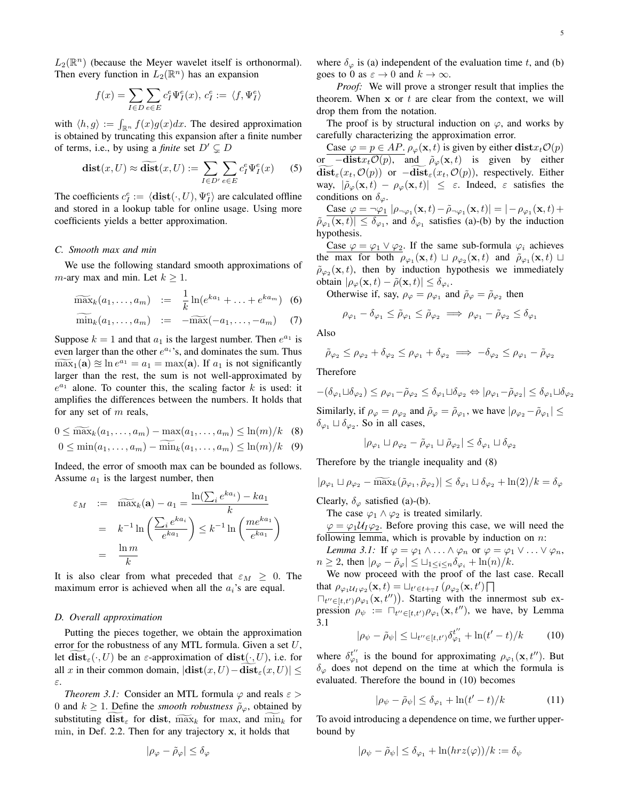$L_2(\mathbb{R}^n)$  (because the Meyer wavelet itself is orthonormal). Then every function in  $L_2(\mathbb{R}^n)$  has an expansion

$$
f(x) = \sum_{I \in D} \sum_{e \in E} c_I^e \Psi_I^e(x), \, c_I^e := \langle f, \Psi_I^e \rangle
$$

with  $\langle h, g \rangle := \int_{\mathbb{R}^n} f(x)g(x)dx$ . The desired approximation is obtained by truncating this expansion after a finite number of terms, i.e., by using a *finite* set  $D' \subseteq D$ 

$$
\mathbf{dist}(x, U) \approx \widetilde{\mathbf{dist}}(x, U) := \sum_{I \in D'} \sum_{e \in E} c_I^e \Psi_I^e(x) \qquad (5)
$$

The coefficients  $c_I^e := \langle \textbf{dist}(\cdot, U), \Psi_I^e \rangle$  are calculated offline and stored in a lookup table for online usage. Using more coefficients yields a better approximation.

#### *C. Smooth max and min*

We use the following standard smooth approximations of m-ary max and min. Let  $k \geq 1$ .

$$
\widetilde{\max}_{k}(a_1,\ldots,a_m) \quad := \quad \frac{1}{k}\ln(e^{ka_1}+\ldots+e^{ka_m}) \quad (6)
$$

$$
\widetilde{\min}_k(a_1,\ldots,a_m) \quad := \quad -\widetilde{\max}(-a_1,\ldots,-a_m) \quad (7)
$$

Suppose  $k = 1$  and that  $a_1$  is the largest number. Then  $e^{a_1}$  is even larger than the other  $e^{a_i}$ 's, and dominates the sum. Thus  $\widehat{\text{max}}_1(\mathbf{a}) \cong \ln e^{a_1} = a_1 = \max(\mathbf{a})$ . If  $a_1$  is not significantly larger than the rest the sum is not well approximated by larger than the rest, the sum is not well-approximated by  $e^{a_1}$  alone. To counter this, the scaling factor k is used: it amplifies the differences between the numbers. It holds that for any set of m reals,

$$
0 \le \widetilde{\max}_k(a_1, \dots, a_m) - \max(a_1, \dots, a_m) \le \ln(m)/k \quad (8)
$$

$$
0 \le \min(a_1, \dots, a_m) - \min_k(a_1, \dots, a_m) \le \ln(m)/k \quad (9)
$$

Indeed, the error of smooth max can be bounded as follows. Assume  $a_1$  is the largest number, then

$$
\varepsilon_M := \widetilde{\max}_k(\mathbf{a}) - a_1 = \frac{\ln(\sum_i e^{ka_i}) - ka_1}{k}
$$

$$
= k^{-1} \ln\left(\frac{\sum_i e^{ka_i}}{e^{ka_1}}\right) \le k^{-1} \ln\left(\frac{me^{ka_1}}{e^{ka_1}}\right)
$$

$$
= \frac{\ln m}{k}
$$

It is also clear from what preceded that  $\varepsilon_M \geq 0$ . The maximum error is achieved when all the  $a_i$ 's are equal.

#### *D. Overall approximation*

Putting the pieces together, we obtain the approximation error for the robustness of any MTL formula. Given a set  $U$ , let  $dist_{\varepsilon}(\cdot, U)$  be an  $\varepsilon$ -approximation of  $dist(\cdot, U)$ , i.e. for all x in their common domain,  $|\textbf{dist}(x, U) - \textbf{dist}_{\varepsilon}(x, U)| \le$ ε.

*Theorem 3.1:* Consider an MTL formula  $\varphi$  and reals  $\varepsilon$  > 0 and  $k \ge 1$ . Define the *smooth robustness*  $\tilde{\rho}_{\varphi}$ , obtained by substituting  $dist_{\varepsilon}$  for dist,  $\widetilde{\max}_{k}$  for max, and  $\min_{k}$  for min, in Def. 2.2. Then for any trajectory x, it holds that

$$
|\rho_\varphi-\tilde{\rho}_\varphi|\leq \delta_\varphi
$$

where  $\delta_{\varphi}$  is (a) independent of the evaluation time t, and (b) goes to 0 as  $\varepsilon \to 0$  and  $k \to \infty$ .

*Proof:* We will prove a stronger result that implies the theorem. When  $x$  or  $t$  are clear from the context, we will drop them from the notation.

The proof is by structural induction on  $\varphi$ , and works by carefully characterizing the approximation error.

Case  $\varphi = p \in AP$ .  $\rho_{\varphi}(\mathbf{x}, t)$  is given by either  $\textbf{dist}_{x} \mathcal{O}(p)$ or  $\overline{-\mathbf{dist}x_t\mathcal{O}(p)}$ , and  $\tilde{\rho}_{\varphi}(\mathbf{x},t)$  is given by either  $\widetilde{\text{dist}}_{\varepsilon}(x_t, \mathcal{O}(p))$  or  $-\widetilde{\text{dist}}_{\varepsilon}(x_t, \mathcal{O}(p))$ , respectively. Either way,  $|\tilde{\rho}_{\varphi}(\mathbf{x}, t) - \rho_{\varphi}(\mathbf{x}, t)| \leq \varepsilon$ . Indeed,  $\varepsilon$  satisfies the conditions on  $\delta_{\varphi}$ .

Case  $\varphi = \neg \varphi_1 \left[ \rho_{\neg \varphi_1}(\mathbf{x}, t) - \tilde{\rho}_{\neg \varphi_1}(\mathbf{x}, t) \right] = | - \rho_{\varphi_1}(\mathbf{x}, t) +$  $|\tilde{\rho}_{\varphi_1}(\mathbf{x},t)| \leq \delta_{\varphi_1}$ , and  $\delta_{\varphi_1}$  satisfies (a)-(b) by the induction hypothesis.

Case  $\varphi = \varphi_1 \vee \varphi_2$ . If the same sub-formula  $\varphi_i$  achieves the max for both  $\rho_{\varphi_1}(\mathbf{x},t) \perp \rho_{\varphi_2}(\mathbf{x},t)$  and  $\tilde{\rho}_{\varphi_1}(\mathbf{x},t) \perp$  $\tilde{\rho}_{\varphi_2}(\mathbf{x}, t)$ , then by induction hypothesis we immediately obtain  $|\rho_{\varphi}(\mathbf{x},t) - \tilde{\rho}(\mathbf{x},t)| \leq \delta_{\varphi_i}$ .

Otherwise if, say,  $\rho_{\varphi} = \rho_{\varphi_1}$  and  $\tilde{\rho}_{\varphi} = \tilde{\rho}_{\varphi_2}$  then

$$
\rho_{\varphi_1} - \delta_{\varphi_1} \leq \tilde{\rho}_{\varphi_1} \leq \tilde{\rho}_{\varphi_2} \implies \rho_{\varphi_1} - \tilde{\rho}_{\varphi_2} \leq \delta_{\varphi_1}
$$

Also

$$
\tilde{\rho}_{\varphi_2} \leq \rho_{\varphi_2} + \delta_{\varphi_2} \leq \rho_{\varphi_1} + \delta_{\varphi_2} \implies -\delta_{\varphi_2} \leq \rho_{\varphi_1} - \tilde{\rho}_{\varphi_2}
$$

Therefore

$$
-(\delta_{\varphi_1} \sqcup \delta_{\varphi_2}) \le \rho_{\varphi_1} - \tilde{\rho}_{\varphi_2} \le \delta_{\varphi_1} \sqcup \delta_{\varphi_2} \Leftrightarrow |\rho_{\varphi_1} - \tilde{\rho}_{\varphi_2}| \le \delta_{\varphi_1} \sqcup \delta_{\varphi_2}
$$

Similarly, if  $\rho_{\varphi} = \rho_{\varphi_2}$  and  $\tilde{\rho}_{\varphi} = \tilde{\rho}_{\varphi_1}$ , we have  $|\rho_{\varphi_2} - \tilde{\rho}_{\varphi_1}| \leq$  $\delta_{\varphi_1} \sqcup \delta_{\varphi_2}$ . So in all cases,

$$
|\rho_{\varphi_1}\sqcup\rho_{\varphi_2}-\tilde{\rho}_{\varphi_1}\sqcup\tilde{\rho}_{\varphi_2}|\leq\delta_{\varphi_1}\sqcup\delta_{\varphi_2}
$$

Therefore by the triangle inequality and (8)

$$
|\rho_{\varphi_1} \sqcup \rho_{\varphi_2} - \widetilde{\max}_k(\tilde{\rho}_{\varphi_1}, \tilde{\rho}_{\varphi_2})| \le \delta_{\varphi_1} \sqcup \delta_{\varphi_2} + \ln(2)/k = \delta_{\varphi}
$$

Clearly,  $\delta_{\varphi}$  satisfied (a)-(b).

The case  $\varphi_1 \wedge \varphi_2$  is treated similarly.

 $\varphi = \varphi_1 U_I \varphi_2$ . Before proving this case, we will need the following lemma, which is provable by induction on  $n$ :

*Lemma 3.1:* If  $\varphi = \varphi_1 \wedge \ldots \wedge \varphi_n$  or  $\varphi = \varphi_1 \vee \ldots \vee \varphi_n$ ,  $n \geq 2$ , then  $|\rho_{\varphi} - \tilde{\rho}_{\varphi}| \leq \bigcup_{1 \leq i \leq n} \delta_{\varphi_i} + \ln(n)/k$ .

We now proceed with the proof of the last case. Recall that  $\rho_{\varphi_1 \mathcal{U}_I \varphi_2}(\mathbf{x},t) = \sqcup_{t' \in t+\mathcal{T}} (\rho_{\varphi_2}(\mathbf{x},t') \cap$ 

 $\bigcap_{t''\in[t,t')} \rho_{\varphi_1}(\mathbf{x}, t'')\big)$ . Starting with the innermost sub expression  $\rho_{\psi} := \prod_{t'' \in [t, t']} \rho_{\varphi_1}(\mathbf{x}, t'')$ , we have, by Lemma 3.1

$$
|\rho_{\psi} - \tilde{\rho}_{\psi}| \leq \sqcup_{t'' \in [t, t']} \delta_{\varphi_1}^{t''} + \ln(t' - t)/k \tag{10}
$$

where  $\delta_{\varphi_1}^{t''}$  is the bound for approximating  $\rho_{\varphi_1}(\mathbf{x}, t'')$ . But  $\delta_{\varphi}$  does not depend on the time at which the formula is evaluated. Therefore the bound in (10) becomes

$$
|\rho_{\psi} - \tilde{\rho}_{\psi}| \le \delta_{\varphi_1} + \ln(t'-t)/k \tag{11}
$$

To avoid introducing a dependence on time, we further upperbound by

$$
|\rho_{\psi} - \tilde{\rho}_{\psi}| \le \delta_{\varphi_1} + \ln(hrz(\varphi))/k := \delta_{\psi}
$$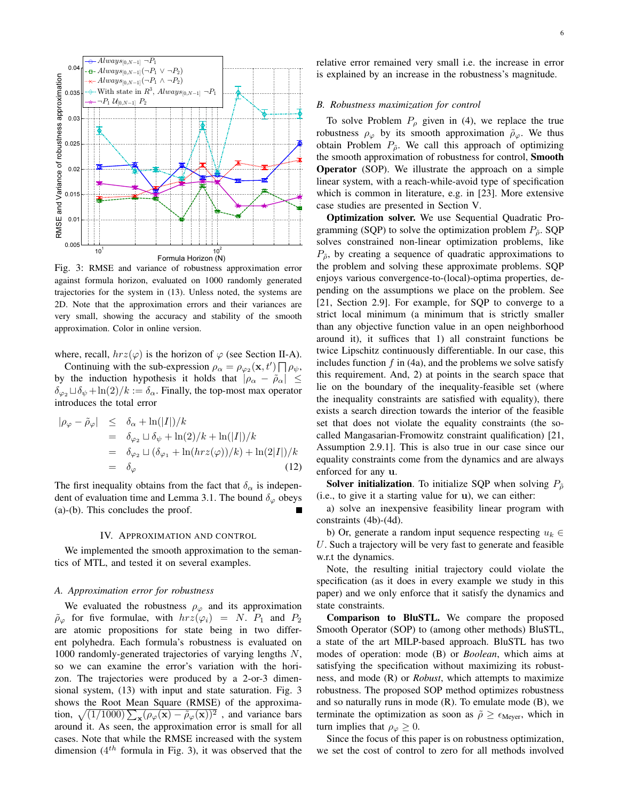

Fig. 3: RMSE and variance of robustness approximation error against formula horizon, evaluated on 1000 randomly generated trajectories for the system in (13). Unless noted, the systems are 2D. Note that the approximation errors and their variances are very small, showing the accuracy and stability of the smooth approximation. Color in online version.

where, recall,  $hrz(\varphi)$  is the horizon of  $\varphi$  (see Section II-A).

Continuing with the sub-expression  $\rho_{\alpha} = \rho_{\varphi_2}(\mathbf{x}, t') \prod \rho_{\psi}$ , by the induction hypothesis it holds that  $|\rho_{\alpha} - \tilde{\rho}_{\alpha}| \leq$  $\delta_{\varphi_2} \sqcup \delta_{\psi} + \ln(2)/k := \delta_{\alpha}$ . Finally, the top-most max operator introduces the total error

$$
\begin{array}{rcl}\n|\rho_{\varphi} - \tilde{\rho}_{\varphi}| & \leq & \delta_{\alpha} + \ln(|I|)/k \\
& = & \delta_{\varphi_2} \sqcup \delta_{\psi} + \ln(2)/k + \ln(|I|)/k \\
& = & \delta_{\varphi_2} \sqcup (\delta_{\varphi_1} + \ln(hrz(\varphi))/k) + \ln(2|I|)/k \\
& = & \delta_{\varphi}\n\end{array} \tag{12}
$$

The first inequality obtains from the fact that  $\delta_{\alpha}$  is independent of evaluation time and Lemma 3.1. The bound  $\delta_{\varphi}$  obeys (a)-(b). This concludes the proof.

#### IV. APPROXIMATION AND CONTROL

We implemented the smooth approximation to the semantics of MTL, and tested it on several examples.

#### *A. Approximation error for robustness*

We evaluated the robustness  $\rho_{\varphi}$  and its approximation  $\tilde{\rho}_{\varphi}$  for five formulae, with  $hrz(\varphi_i) = N$ .  $P_1$  and  $P_2$ are atomic propositions for state being in two different polyhedra. Each formula's robustness is evaluated on 1000 randomly-generated trajectories of varying lengths N, so we can examine the error's variation with the horizon. The trajectories were produced by a 2-or-3 dimensional system, (13) with input and state saturation. Fig. 3 shows the Root Mean Square (RMSE) of the approximation,  $\sqrt{(1/1000)\sum_{\mathbf{x}}(\rho_{\varphi}(\mathbf{x}) - \tilde{\rho}_{\varphi}(\mathbf{x}))^2}$ , and variance bars around it. As seen, the approximation error is small for all cases. Note that while the RMSE increased with the system dimension  $(4^{th}$  formula in Fig. 3), it was observed that the

#### *B. Robustness maximization for control*

To solve Problem  $P_{\rho}$  given in (4), we replace the true robustness  $\rho_{\varphi}$  by its smooth approximation  $\tilde{\rho}_{\varphi}$ . We thus obtain Problem  $P_{\tilde{\rho}}$ . We call this approach of optimizing the smooth approximation of robustness for control, Smooth Operator (SOP). We illustrate the approach on a simple linear system, with a reach-while-avoid type of specification which is common in literature, e.g. in [23]. More extensive case studies are presented in Section V.

Optimization solver. We use Sequential Quadratic Programming (SQP) to solve the optimization problem  $P_{\tilde{\rho}}$ . SQP solves constrained non-linear optimization problems, like  $P_{\tilde{\rho}}$ , by creating a sequence of quadratic approximations to the problem and solving these approximate problems. SQP enjoys various convergence-to-(local)-optima properties, depending on the assumptions we place on the problem. See [21, Section 2.9]. For example, for SQP to converge to a strict local minimum (a minimum that is strictly smaller than any objective function value in an open neighborhood around it), it suffices that 1) all constraint functions be twice Lipschitz continuously differentiable. In our case, this includes function  $f$  in (4a), and the problems we solve satisfy this requirement. And, 2) at points in the search space that lie on the boundary of the inequality-feasible set (where the inequality constraints are satisfied with equality), there exists a search direction towards the interior of the feasible set that does not violate the equality constraints (the socalled Mangasarian-Fromowitz constraint qualification) [21, Assumption 2.9.1]. This is also true in our case since our equality constraints come from the dynamics and are always enforced for any u.

**Solver initialization.** To initialize SQP when solving  $P_{\tilde{\rho}}$ (i.e., to give it a starting value for u), we can either:

a) solve an inexpensive feasibility linear program with constraints (4b)-(4d).

b) Or, generate a random input sequence respecting  $u_k \in$ U. Such a trajectory will be very fast to generate and feasible w.r.t the dynamics.

Note, the resulting initial trajectory could violate the specification (as it does in every example we study in this paper) and we only enforce that it satisfy the dynamics and state constraints.

Comparison to BluSTL. We compare the proposed Smooth Operator (SOP) to (among other methods) BluSTL, a state of the art MILP-based approach. BluSTL has two modes of operation: mode (B) or *Boolean*, which aims at satisfying the specification without maximizing its robustness, and mode (R) or *Robust*, which attempts to maximize robustness. The proposed SOP method optimizes robustness and so naturally runs in mode (R). To emulate mode (B), we terminate the optimization as soon as  $\tilde{\rho} \ge \epsilon_{Meyer}$ , which in turn implies that  $\rho_{\varphi} \geq 0$ .

Since the focus of this paper is on robustness optimization, we set the cost of control to zero for all methods involved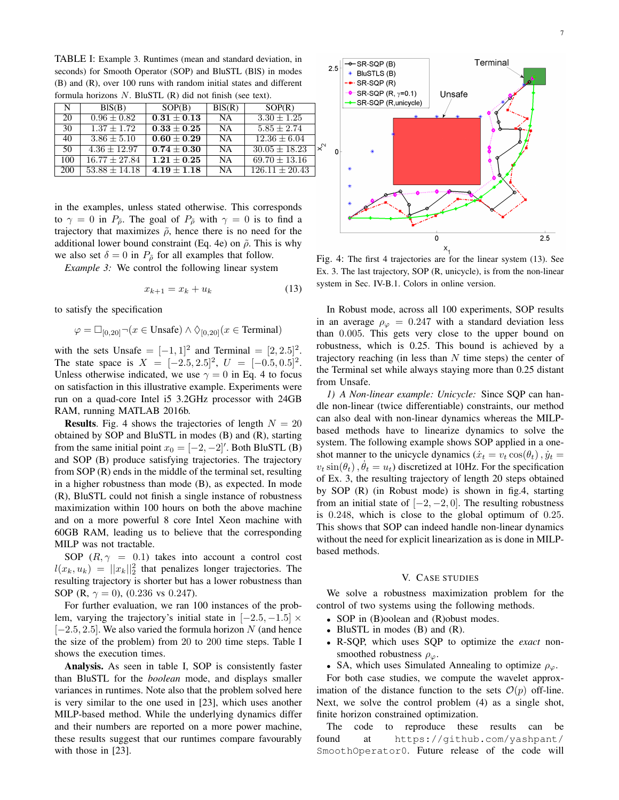TABLE I: Example 3. Runtimes (mean and standard deviation, in seconds) for Smooth Operator (SOP) and BluSTL (BlS) in modes (B) and (R), over 100 runs with random initial states and different formula horizons N. BluSTL (R) did not finish (see text).

| N   | BIS(B)           | SOP(B)          | BIS(R)    | SOP(R)             |
|-----|------------------|-----------------|-----------|--------------------|
| 20  | $0.96 \pm 0.82$  | $0.31 \pm 0.13$ | <b>NA</b> | $3.30 \pm 1.25$    |
| 30  | $1.37 + 1.72$    | $0.33\pm0.25$   | <b>NA</b> | $5.85 \pm 2.74$    |
| 40  | $3.86 \pm 5.10$  | $0.60 \pm 0.29$ | <b>NA</b> | $12.36 \pm 6.04$   |
| 50  | $4.36 \pm 12.97$ | $0.74 \pm 0.30$ | <b>NA</b> | $30.05 \pm 18.23$  |
| 100 | $16.77 + 27.84$  | $1.21\pm0.25$   | <b>NA</b> | $69.70 \pm 13.16$  |
| 200 | $53.88 + 14.18$  | $4.19 + 1.18$   | <b>NA</b> | $126.11 \pm 20.43$ |

in the examples, unless stated otherwise. This corresponds to  $\gamma = 0$  in  $P_{\tilde{\rho}}$ . The goal of  $P_{\tilde{\rho}}$  with  $\gamma = 0$  is to find a trajectory that maximizes  $\tilde{\rho}$ , hence there is no need for the additional lower bound constraint (Eq. 4e) on  $\tilde{\rho}$ . This is why we also set  $\delta = 0$  in  $P_{\tilde{\rho}}$  for all examples that follow.

*Example 3:* We control the following linear system

$$
x_{k+1} = x_k + u_k \tag{13}
$$

to satisfy the specification

$$
\varphi = \Box_{[0,20]} \neg (x \in \text{Unsafe}) \land \Diamond_{[0,20]} (x \in \text{Terminal})
$$

with the sets Unsafe =  $[-1, 1]^2$  and Terminal =  $[2, 2.5]^2$ . The state space is  $X = [-2.5, 2.5]^2$ ,  $U = [-0.5, 0.5]^2$ . Unless otherwise indicated, we use  $\gamma = 0$  in Eq. 4 to focus on satisfaction in this illustrative example. Experiments were run on a quad-core Intel i5 3.2GHz processor with 24GB RAM, running MATLAB 2016b.

**Results.** Fig. 4 shows the trajectories of length  $N = 20$ obtained by SOP and BluSTL in modes (B) and (R), starting from the same initial point  $x_0 = [-2, -2]$ '. Both BluSTL (B) and SOP (B) produce satisfying trajectories. The trajectory from SOP (R) ends in the middle of the terminal set, resulting in a higher robustness than mode (B), as expected. In mode (R), BluSTL could not finish a single instance of robustness maximization within 100 hours on both the above machine and on a more powerful 8 core Intel Xeon machine with 60GB RAM, leading us to believe that the corresponding MILP was not tractable.

SOP  $(R, \gamma = 0.1)$  takes into account a control cost  $l(x_k, u_k) = ||x_k||_2^2$  that penalizes longer trajectories. The resulting trajectory is shorter but has a lower robustness than SOP (R,  $\gamma = 0$ ), (0.236 vs 0.247).

For further evaluation, we ran 100 instances of the problem, varying the trajectory's initial state in  $[-2.5, -1.5] \times$  $[-2.5, 2.5]$ . We also varied the formula horizon N (and hence the size of the problem) from 20 to 200 time steps. Table I shows the execution times.

Analysis. As seen in table I, SOP is consistently faster than BluSTL for the *boolean* mode, and displays smaller variances in runtimes. Note also that the problem solved here is very similar to the one used in [23], which uses another MILP-based method. While the underlying dynamics differ and their numbers are reported on a more power machine, these results suggest that our runtimes compare favourably with those in [23].



Fig. 4: The first 4 trajectories are for the linear system (13). See Ex. 3. The last trajectory, SOP (R, unicycle), is from the non-linear system in Sec. IV-B.1. Colors in online version.

In Robust mode, across all 100 experiments, SOP results in an average  $\rho_{\varphi} = 0.247$  with a standard deviation less than 0.005. This gets very close to the upper bound on robustness, which is 0.25. This bound is achieved by a trajectory reaching (in less than  $N$  time steps) the center of the Terminal set while always staying more than 0.25 distant from Unsafe.

*1) A Non-linear example: Unicycle:* Since SQP can handle non-linear (twice differentiable) constraints, our method can also deal with non-linear dynamics whereas the MILPbased methods have to linearize dynamics to solve the system. The following example shows SOP applied in a oneshot manner to the unicycle dynamics ( $\dot{x}_t = v_t \cos(\theta_t)$ ,  $\dot{y}_t = v_t \cos(\theta_t)$  $v_t \sin(\theta_t)$ ,  $\dot{\theta}_t = u_t$ ) discretized at 10Hz. For the specification of Ex. 3, the resulting trajectory of length 20 steps obtained by SOP (R) (in Robust mode) is shown in fig.4, starting from an initial state of  $[-2, -2, 0]$ . The resulting robustness is 0.248, which is close to the global optimum of 0.25. This shows that SOP can indeed handle non-linear dynamics without the need for explicit linearization as is done in MILPbased methods.

#### V. CASE STUDIES

We solve a robustness maximization problem for the control of two systems using the following methods.

- SOP in (B)oolean and (R)obust modes.
- BluSTL in modes (B) and (R).
- R-SQP, which uses SQP to optimize the *exact* nonsmoothed robustness  $\rho_{\varphi}$ .
- SA, which uses Simulated Annealing to optimize  $\rho_{\varphi}$ .

For both case studies, we compute the wavelet approximation of the distance function to the sets  $\mathcal{O}(p)$  off-line. Next, we solve the control problem (4) as a single shot, finite horizon constrained optimization.

The code to reproduce these results can be found at https://github.com/yashpant/ SmoothOperator0. Future release of the code will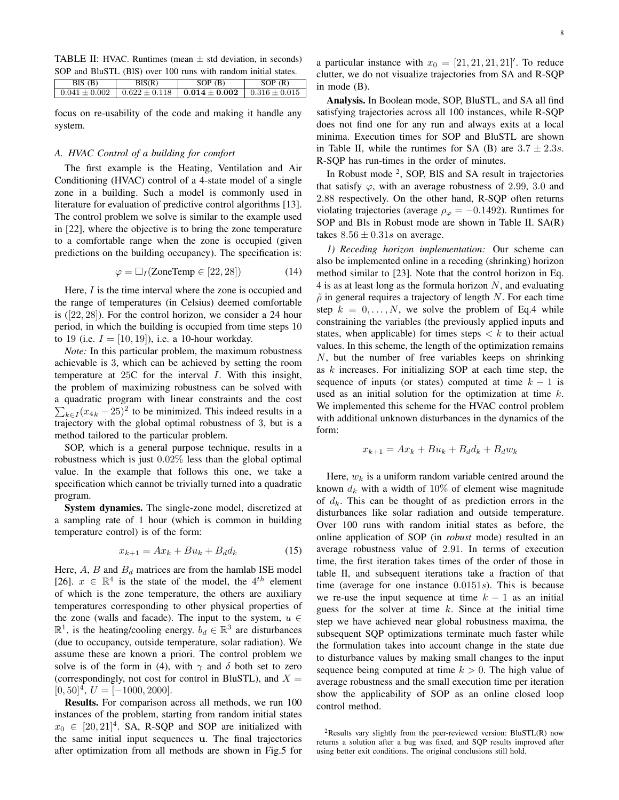TABLE II: HVAC. Runtimes (mean  $\pm$  std deviation, in seconds) SOP and BluSTL (BlS) over 100 runs with random initial states.

|                                                            | SOP(R)            |
|------------------------------------------------------------|-------------------|
| $0.622 \pm 0.118$   $0.014 \pm 0.002$<br>$0.041 \pm 0.002$ | $0.316 \pm 0.015$ |

focus on re-usability of the code and making it handle any system.

#### *A. HVAC Control of a building for comfort*

The first example is the Heating, Ventilation and Air Conditioning (HVAC) control of a 4-state model of a single zone in a building. Such a model is commonly used in literature for evaluation of predictive control algorithms [13]. The control problem we solve is similar to the example used in [22], where the objective is to bring the zone temperature to a comfortable range when the zone is occupied (given predictions on the building occupancy). The specification is:

$$
\varphi = \Box_I (\text{ZoneTemp} \in [22, 28]) \tag{14}
$$

Here, I is the time interval where the zone is occupied and the range of temperatures (in Celsius) deemed comfortable is ([22, 28]). For the control horizon, we consider a 24 hour period, in which the building is occupied from time steps 10 to 19 (i.e.  $I = [10, 19]$ ), i.e. a 10-hour workday.

*Note:* In this particular problem, the maximum robustness achievable is 3, which can be achieved by setting the room temperature at 25C for the interval I. With this insight, the problem of maximizing robustness can be solved with a quadratic program with linear constraints and the cost  $\sum_{k \in I} (x_{4k} - 25)^2$  to be minimized. This indeed results in a trajectory with the global optimal robustness of 3, but is a method tailored to the particular problem.

SOP, which is a general purpose technique, results in a robustness which is just 0.02% less than the global optimal value. In the example that follows this one, we take a specification which cannot be trivially turned into a quadratic program.

System dynamics. The single-zone model, discretized at a sampling rate of 1 hour (which is common in building temperature control) is of the form:

$$
x_{k+1} = Ax_k + Bu_k + B_d d_k \tag{15}
$$

Here,  $A$ ,  $B$  and  $B_d$  matrices are from the hamlab ISE model [26].  $x \in \mathbb{R}^4$  is the state of the model, the 4<sup>th</sup> element of which is the zone temperature, the others are auxiliary temperatures corresponding to other physical properties of the zone (walls and facade). The input to the system,  $u \in$  $\mathbb{R}^1$ , is the heating/cooling energy.  $b_d \in \mathbb{R}^3$  are disturbances (due to occupancy, outside temperature, solar radiation). We assume these are known a priori. The control problem we solve is of the form in (4), with  $\gamma$  and  $\delta$  both set to zero (correspondingly, not cost for control in BluSTL), and  $X =$  $[0, 50]^4$ ,  $U = [-1000, 2000]$ .

Results. For comparison across all methods, we run 100 instances of the problem, starting from random initial states  $x_0 \in [20, 21]^4$ . SA, R-SQP and SOP are initialized with the same initial input sequences u. The final trajectories after optimization from all methods are shown in Fig.5 for

a particular instance with  $x_0 = [21, 21, 21, 21]^\prime$ . To reduce clutter, we do not visualize trajectories from SA and R-SQP in mode (B).

Analysis. In Boolean mode, SOP, BluSTL, and SA all find satisfying trajectories across all 100 instances, while R-SQP does not find one for any run and always exits at a local minima. Execution times for SOP and BluSTL are shown in Table II, while the runtimes for SA (B) are  $3.7 \pm 2.3s$ . R-SQP has run-times in the order of minutes.

In Robust mode <sup>2</sup>, SOP, BIS and SA result in trajectories that satisfy  $\varphi$ , with an average robustness of 2.99, 3.0 and 2.88 respectively. On the other hand, R-SQP often returns violating trajectories (average  $\rho_{\varphi} = -0.1492$ ). Runtimes for SOP and Bls in Robust mode are shown in Table II. SA(R) takes  $8.56 \pm 0.31s$  on average.

*1) Receding horizon implementation:* Our scheme can also be implemented online in a receding (shrinking) horizon method similar to [23]. Note that the control horizon in Eq. 4 is as at least long as the formula horizon  $N$ , and evaluating  $\tilde{\rho}$  in general requires a trajectory of length N. For each time step  $k = 0, \ldots, N$ , we solve the problem of Eq.4 while constraining the variables (the previously applied inputs and states, when applicable) for times steps  $\lt k$  to their actual values. In this scheme, the length of the optimization remains N, but the number of free variables keeps on shrinking as k increases. For initializing SOP at each time step, the sequence of inputs (or states) computed at time  $k - 1$  is used as an initial solution for the optimization at time k. We implemented this scheme for the HVAC control problem with additional unknown disturbances in the dynamics of the form:

$$
x_{k+1} = Ax_k + Bu_k + B_d d_k + B_d w_k
$$

Here,  $w_k$  is a uniform random variable centred around the known  $d_k$  with a width of 10% of element wise magnitude of  $d_k$ . This can be thought of as prediction errors in the disturbances like solar radiation and outside temperature. Over 100 runs with random initial states as before, the online application of SOP (in *robust* mode) resulted in an average robustness value of 2.91. In terms of execution time, the first iteration takes times of the order of those in table II, and subsequent iterations take a fraction of that time (average for one instance 0.0151s). This is because we re-use the input sequence at time  $k - 1$  as an initial guess for the solver at time  $k$ . Since at the initial time step we have achieved near global robustness maxima, the subsequent SQP optimizations terminate much faster while the formulation takes into account change in the state due to disturbance values by making small changes to the input sequence being computed at time  $k > 0$ . The high value of average robustness and the small execution time per iteration show the applicability of SOP as an online closed loop control method.

<sup>&</sup>lt;sup>2</sup>Results vary slightly from the peer-reviewed version: BluSTL(R) now returns a solution after a bug was fixed, and SQP results improved after using better exit conditions. The original conclusions still hold.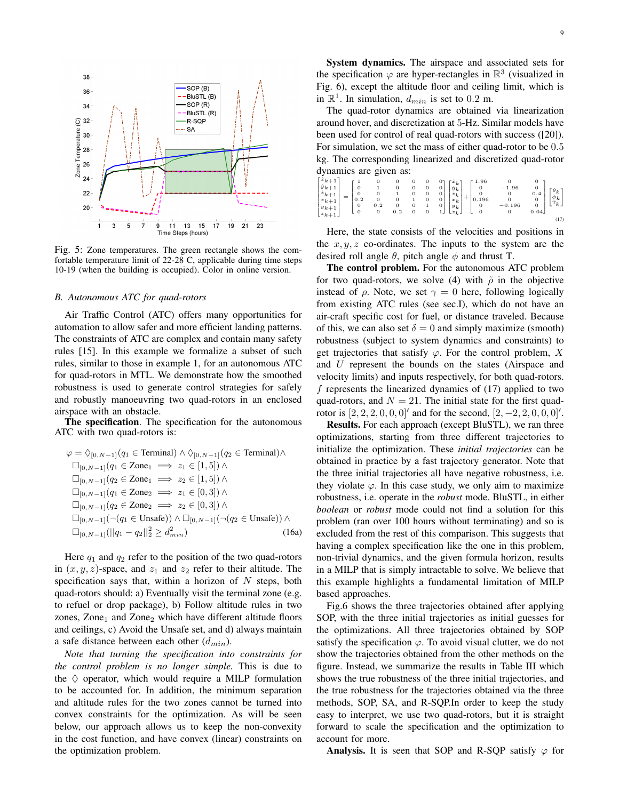

Fig. 5: Zone temperatures. The green rectangle shows the comfortable temperature limit of 22-28 C, applicable during time steps 10-19 (when the building is occupied). Color in online version.

#### *B. Autonomous ATC for quad-rotors*

Air Traffic Control (ATC) offers many opportunities for automation to allow safer and more efficient landing patterns. The constraints of ATC are complex and contain many safety rules [15]. In this example we formalize a subset of such rules, similar to those in example 1, for an autonomous ATC for quad-rotors in MTL. We demonstrate how the smoothed robustness is used to generate control strategies for safely and robustly manoeuvring two quad-rotors in an enclosed airspace with an obstacle.

The specification. The specification for the autonomous ATC with two quad-rotors is:

$$
\varphi = \Diamond_{[0,N-1]}(q_1 \in \text{Terminal}) \land \Diamond_{[0,N-1]}(q_2 \in \text{Terminal}) \land \n\square_{[0,N-1]}(q_1 \in \text{Zone}_1 \implies z_1 \in [1,5]) \land \n\square_{[0,N-1]}(q_2 \in \text{Zone}_1 \implies z_2 \in [1,5]) \land \n\square_{[0,N-1]}(q_1 \in \text{Zone}_2 \implies z_1 \in [0,3]) \land \n\square_{[0,N-1]}(q_2 \in \text{Zone}_2 \implies z_2 \in [0,3]) \land \n\square_{[0,N-1]}(\neg(q_1 \in \text{Unsafe})) \land \square_{[0,N-1]}(\neg(q_2 \in \text{Unsafe})) \land \n\square_{[0,N-1]}(\|q_1 - q_2\|_2^2 \geq d_{min}^2)
$$
\n(16a)

Here  $q_1$  and  $q_2$  refer to the position of the two quad-rotors in  $(x, y, z)$ -space, and  $z_1$  and  $z_2$  refer to their altitude. The specification says that, within a horizon of  $N$  steps, both quad-rotors should: a) Eventually visit the terminal zone (e.g. to refuel or drop package), b) Follow altitude rules in two zones, Zone $<sub>1</sub>$  and Zone $<sub>2</sub>$  which have different altitude floors</sub></sub> and ceilings, c) Avoid the Unsafe set, and d) always maintain a safe distance between each other  $(d_{min})$ .

*Note that turning the specification into constraints for the control problem is no longer simple.* This is due to the  $\diamond$  operator, which would require a MILP formulation to be accounted for. In addition, the minimum separation and altitude rules for the two zones cannot be turned into convex constraints for the optimization. As will be seen below, our approach allows us to keep the non-convexity in the cost function, and have convex (linear) constraints on the optimization problem.

System dynamics. The airspace and associated sets for the specification  $\varphi$  are hyper-rectangles in  $\mathbb{R}^3$  (visualized in Fig. 6), except the altitude floor and ceiling limit, which is in  $\mathbb{R}^1$ . In simulation,  $d_{min}$  is set to 0.2 m.

The quad-rotor dynamics are obtained via linearization around hover, and discretization at 5-Hz. Similar models have been used for control of real quad-rotors with success ([20]). For simulation, we set the mass of either quad-rotor to be 0.5 kg. The corresponding linearized and discretized quad-rotor dynamics are given as:

| $\begin{bmatrix} \dot{x}_{k+1} \\ \dot{y}_{k+1} \\ \dot{z}_{k+1} \\ x_{k+1} \\ y_{k+1} \\ z_{k+1} \end{bmatrix}$ | -<br>= | $\begin{smallmatrix} 1 \\ 0 \end{smallmatrix}$<br>$\boldsymbol{0}$<br>0.2<br>$\begin{smallmatrix} 0 \\ 0 \end{smallmatrix}$ | $\boldsymbol{0}$<br>$\mathbf{1}$<br>$\mathbf 0$<br>$\boldsymbol{0}$<br>0.2<br>$\theta$ | 0<br>$\mathbf{0}$<br>$\mathbf{1}$<br>$\boldsymbol{0}$<br>0<br>0.2 | 0<br>0<br>0<br>0<br>0 | 0<br>0<br>$\mathbf{0}$<br>1<br>$\overline{0}$ | $\overline{0}$<br>$\vert$ 0<br>$\vert$ 0<br>$\overline{0}$ | $\lceil x_k \rceil$<br>$y_{k}$<br>$\dot{z}_k$<br>$x_{k}$<br>$ y_k $<br>$\lfloor z_k \rfloor$ | 1.96<br>$\begin{smallmatrix}0\\0\\0.196\end{smallmatrix}$<br>$+$<br>$\begin{matrix} 0 \\ 0 \end{matrix}$ | $-1.96$<br>0<br>$\boldsymbol{0}$<br>$-0.196$<br>$\Omega$ | 0<br>$\mathbf 0$<br>0.4<br>0<br>$\mathbf 0$<br>0.04 | $\left[\begin{smallmatrix} \theta_k \\ \phi_k \end{smallmatrix}\right]$<br>$\mathbb{T}_k$ |
|------------------------------------------------------------------------------------------------------------------|--------|-----------------------------------------------------------------------------------------------------------------------------|----------------------------------------------------------------------------------------|-------------------------------------------------------------------|-----------------------|-----------------------------------------------|------------------------------------------------------------|----------------------------------------------------------------------------------------------|----------------------------------------------------------------------------------------------------------|----------------------------------------------------------|-----------------------------------------------------|-------------------------------------------------------------------------------------------|
|                                                                                                                  |        |                                                                                                                             |                                                                                        |                                                                   |                       |                                               |                                                            |                                                                                              |                                                                                                          |                                                          |                                                     | (17)                                                                                      |

Here, the state consists of the velocities and positions in the  $x, y, z$  co-ordinates. The inputs to the system are the desired roll angle  $\theta$ , pitch angle  $\phi$  and thrust T.

The control problem. For the autonomous ATC problem for two quad-rotors, we solve (4) with  $\tilde{\rho}$  in the objective instead of  $\rho$ . Note, we set  $\gamma = 0$  here, following logically from existing ATC rules (see sec.I), which do not have an air-craft specific cost for fuel, or distance traveled. Because of this, we can also set  $\delta = 0$  and simply maximize (smooth) robustness (subject to system dynamics and constraints) to get trajectories that satisfy  $\varphi$ . For the control problem, X and U represent the bounds on the states (Airspace and velocity limits) and inputs respectively, for both quad-rotors. f represents the linearized dynamics of (17) applied to two quad-rotors, and  $N = 21$ . The initial state for the first quadrotor is  $[2, 2, 2, 0, 0, 0]$ ' and for the second,  $[2, -2, 2, 0, 0, 0]$ '.

Results. For each approach (except BluSTL), we ran three optimizations, starting from three different trajectories to initialize the optimization. These *initial trajectories* can be obtained in practice by a fast trajectory generator. Note that the three initial trajectories all have negative robustness, i.e. they violate  $\varphi$ . In this case study, we only aim to maximize robustness, i.e. operate in the *robust* mode. BluSTL, in either *boolean* or *robust* mode could not find a solution for this problem (ran over 100 hours without terminating) and so is excluded from the rest of this comparison. This suggests that having a complex specification like the one in this problem, non-trivial dynamics, and the given formula horizon, results in a MILP that is simply intractable to solve. We believe that this example highlights a fundamental limitation of MILP based approaches.

Fig.6 shows the three trajectories obtained after applying SOP, with the three initial trajectories as initial guesses for the optimizations. All three trajectories obtained by SOP satisfy the specification  $\varphi$ . To avoid visual clutter, we do not show the trajectories obtained from the other methods on the figure. Instead, we summarize the results in Table III which shows the true robustness of the three initial trajectories, and the true robustness for the trajectories obtained via the three methods, SOP, SA, and R-SQP.In order to keep the study easy to interpret, we use two quad-rotors, but it is straight forward to scale the specification and the optimization to account for more.

Analysis. It is seen that SOP and R-SQP satisfy  $\varphi$  for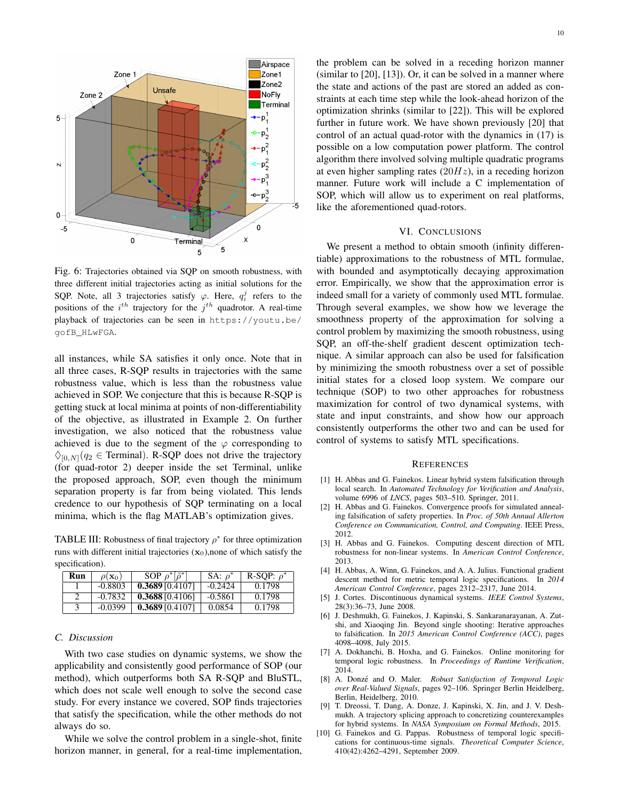

Fig. 6: Trajectories obtained via SQP on smooth robustness, with three different initial trajectories acting as initial solutions for the SQP. Note, all 3 trajectories satisfy  $\varphi$ . Here,  $q_i^j$  refers to the positions of the  $i^{th}$  trajectory for the  $j^{th}$  quadrotor. A real-time playback of trajectories can be seen in https://youtu.be/ gofB\_HLwFGA.

all instances, while SA satisfies it only once. Note that in all three cases, R-SQP results in trajectories with the same robustness value, which is less than the robustness value achieved in SOP. We conjecture that this is because R-SQP is getting stuck at local minima at points of non-differentiability of the objective, as illustrated in Example 2. On further investigation, we also noticed that the robustness value achieved is due to the segment of the  $\varphi$  corresponding to  $\Diamond$ <sub>[0,N]</sub>( $q_2 \in$  Terminal). R-SQP does not drive the trajectory (for quad-rotor 2) deeper inside the set Terminal, unlike the proposed approach, SOP, even though the minimum separation property is far from being violated. This lends credence to our hypothesis of SQP terminating on a local minima, which is the flag MATLAB's optimization gives.

TABLE III: Robustness of final trajectory  $\rho^*$  for three optimization runs with different initial trajectories  $(x_0)$ , none of which satisfy the specification).

| Run | $\rho(\mathbf{x}_0)$ | SOP $\rho^*$ $ \tilde{\rho}^* $ | SA: $\rho^*$ | R-SOP: $\rho^*$ |
|-----|----------------------|---------------------------------|--------------|-----------------|
|     | $-0.8803$            | 0.368910.41071                  | $-0.2424$    | 0.1798          |
|     | $-0.7832$            | $0.3688$ [0.4106]               | $-0.5861$    | 0.1798          |
|     | $-0.0399$            | $0.3689$ [0.4107]               | 0.0854       | 0.1798          |

#### *C. Discussion*

With two case studies on dynamic systems, we show the applicability and consistently good performance of SOP (our method), which outperforms both SA R-SQP and BluSTL, which does not scale well enough to solve the second case study. For every instance we covered, SOP finds trajectories that satisfy the specification, while the other methods do not always do so.

While we solve the control problem in a single-shot, finite horizon manner, in general, for a real-time implementation, the problem can be solved in a receding horizon manner (similar to [20], [13]). Or, it can be solved in a manner where the state and actions of the past are stored an added as constraints at each time step while the look-ahead horizon of the optimization shrinks (similar to [22]). This will be explored further in future work. We have shown previously [20] that control of an actual quad-rotor with the dynamics in (17) is possible on a low computation power platform. The control algorithm there involved solving multiple quadratic programs at even higher sampling rates  $(20Hz)$ , in a receding horizon manner. Future work will include a C implementation of SOP, which will allow us to experiment on real platforms, like the aforementioned quad-rotors.

#### VI. CONCLUSIONS

We present a method to obtain smooth (infinity differentiable) approximations to the robustness of MTL formulae, with bounded and asymptotically decaying approximation error. Empirically, we show that the approximation error is indeed small for a variety of commonly used MTL formulae. Through several examples, we show how we leverage the smoothness property of the approximation for solving a control problem by maximizing the smooth robustness, using SQP, an off-the-shelf gradient descent optimization technique. A similar approach can also be used for falsification by minimizing the smooth robustness over a set of possible initial states for a closed loop system. We compare our technique (SOP) to two other approaches for robustness maximization for control of two dynamical systems, with state and input constraints, and show how our approach consistently outperforms the other two and can be used for control of systems to satisfy MTL specifications.

#### **REFERENCES**

- [1] H. Abbas and G. Fainekos. Linear hybrid system falsification through local search. In *Automated Technology for Verification and Analysis*, volume 6996 of *LNCS*, pages 503–510. Springer, 2011.
- [2] H. Abbas and G. Fainekos. Convergence proofs for simulated annealing falsification of safety properties. In *Proc. of 50th Annual Allerton Conference on Communication, Control, and Computing*. IEEE Press, 2012.
- [3] H. Abbas and G. Fainekos. Computing descent direction of MTL robustness for non-linear systems. In *American Control Conference*, 2013.
- [4] H. Abbas, A. Winn, G. Fainekos, and A. A. Julius. Functional gradient descent method for metric temporal logic specifications. In *2014 American Control Conference*, pages 2312–2317, June 2014.
- [5] J. Cortes. Discontinuous dynamical systems. *IEEE Control Systems*, 28(3):36–73, June 2008.
- [6] J. Deshmukh, G. Fainekos, J. Kapinski, S. Sankaranarayanan, A. Zutshi, and Xiaoqing Jin. Beyond single shooting: Iterative approaches to falsification. In *2015 American Control Conference (ACC)*, pages 4098–4098, July 2015.
- [7] A. Dokhanchi, B. Hoxha, and G. Fainekos. Online monitoring for temporal logic robustness. In *Proceedings of Runtime Verification*, 2014.
- [8] A. Donzé and O. Maler. Robust Satisfaction of Temporal Logic *over Real-Valued Signals*, pages 92–106. Springer Berlin Heidelberg, Berlin, Heidelberg, 2010.
- [9] T. Dreossi, T. Dang, A. Donze, J. Kapinski, X. Jin, and J. V. Deshmukh. A trajectory splicing approach to concretizing counterexamples for hybrid systems. In *NASA Symposium on Formal Methods*, 2015.
- [10] G. Fainekos and G. Pappas. Robustness of temporal logic specifications for continuous-time signals. *Theoretical Computer Science*, 410(42):4262–4291, September 2009.